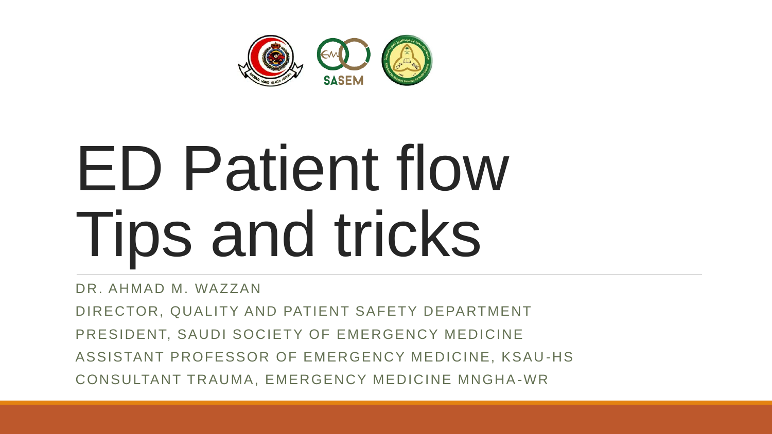

# ED Patient flow Tips and tricks

DR. AHMAD M. WAZZAN

DIRECTOR, QUALITY AND PATIENT SAFETY DEPARTMENT PRESIDENT, SAUDI SOCIETY OF EMERGENCY MEDICINE ASSISTANT PROFESSOR OF EMERGENCY MEDICINE, KSAU -HS CONSULTANT TRAUMA, EMERGENCY MEDICINE MNGHA-WR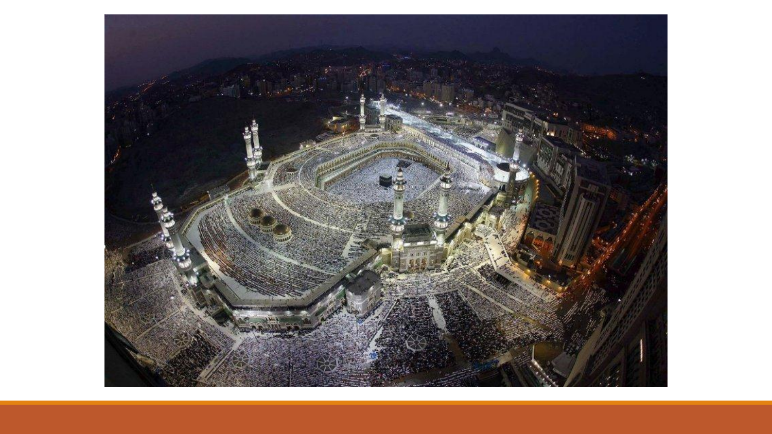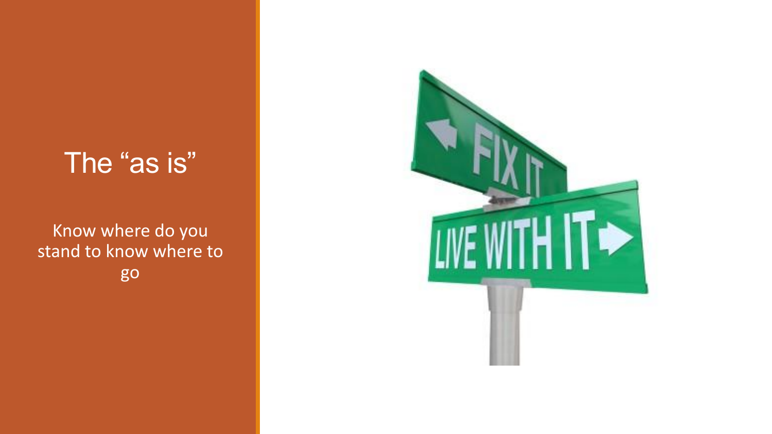### The "as is"

Know where do you stand to know where to **go** 

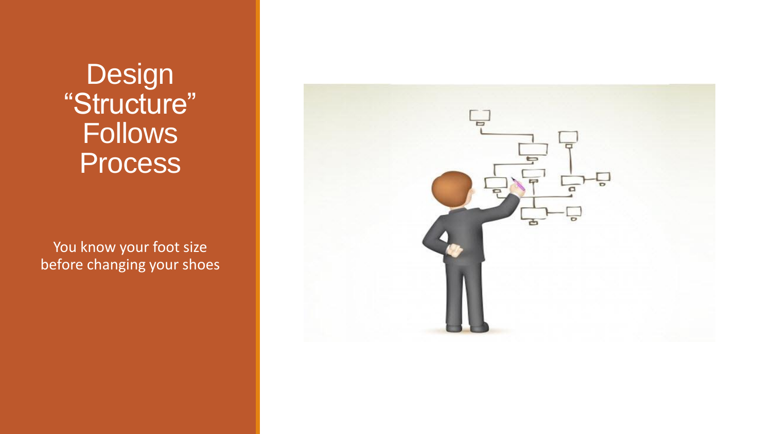**Design** "Structure" Follows Process

You know your foot size before changing your shoes

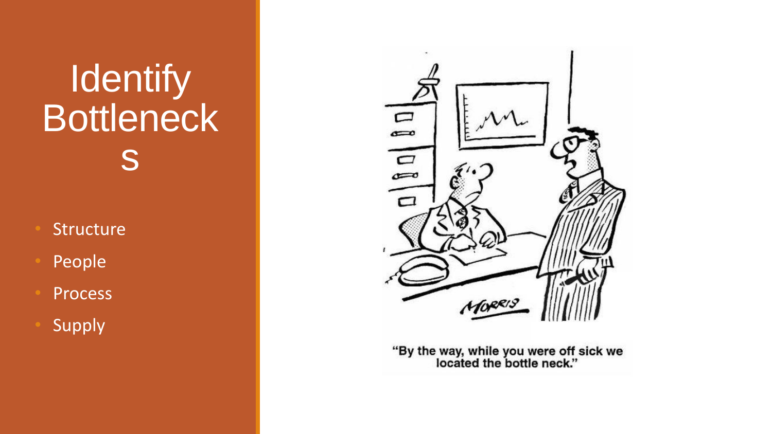## **Identify Bottleneck** s

- **Structure**
- People
- **Process**
- **Supply**



"By the way, while you were off sick we<br>located the bottle neck."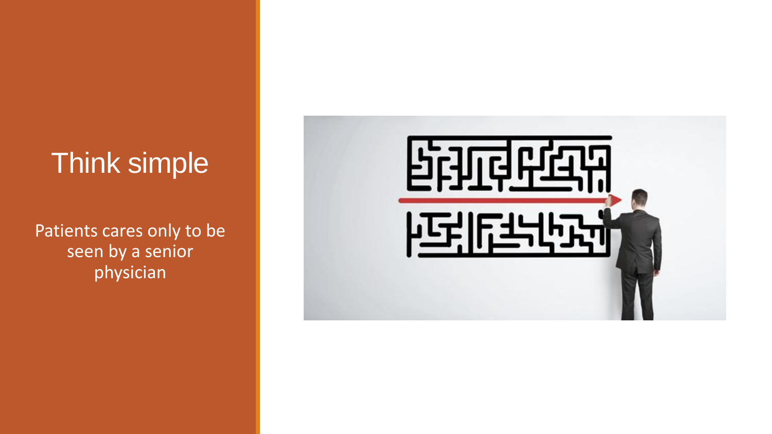### Think simple

Patients cares only to be seen by a senior physician

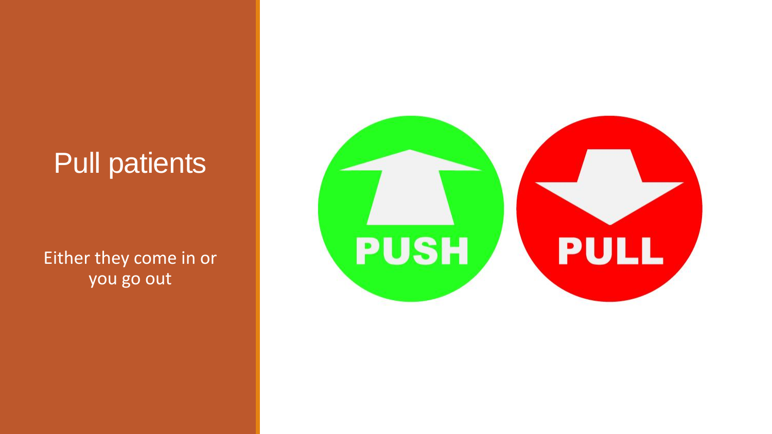#### Pull patients

Either they come in or you go out

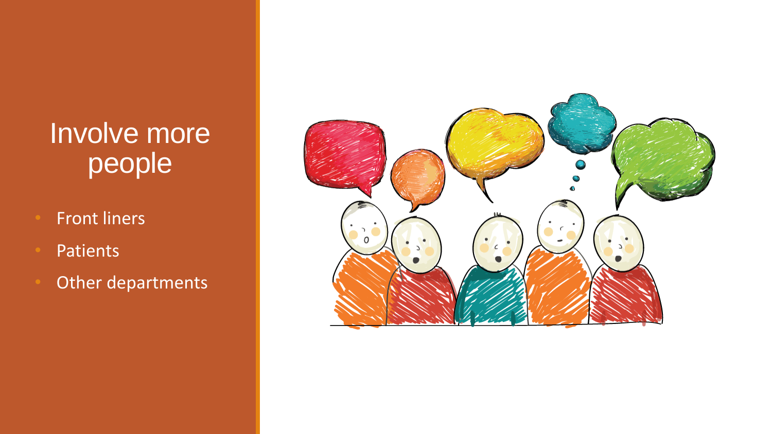#### Involve more people

- Front liners
- **Patients**
- Other departments

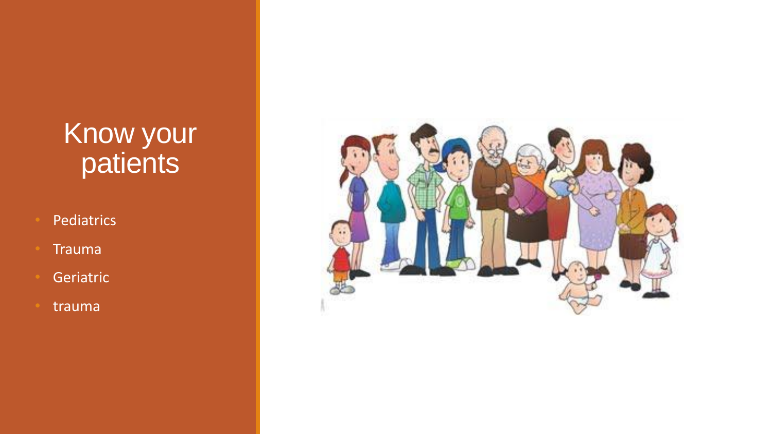#### Know your patients

- **Pediatrics**
- **Trauma**
- **Geriatric**
- trauma

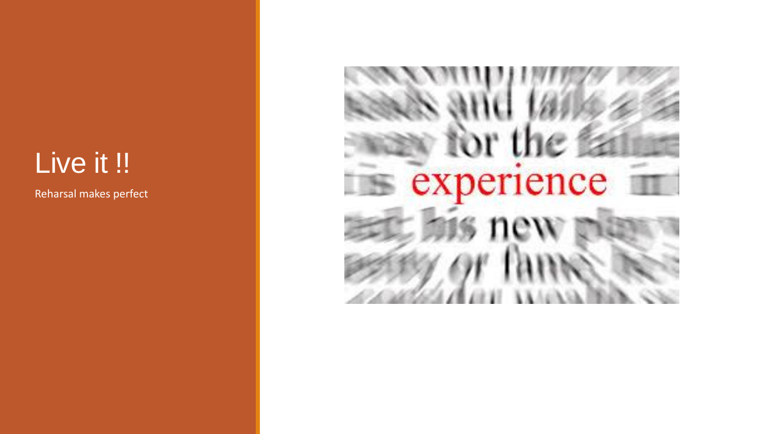#### Live it !!

Reharsal makes perfect